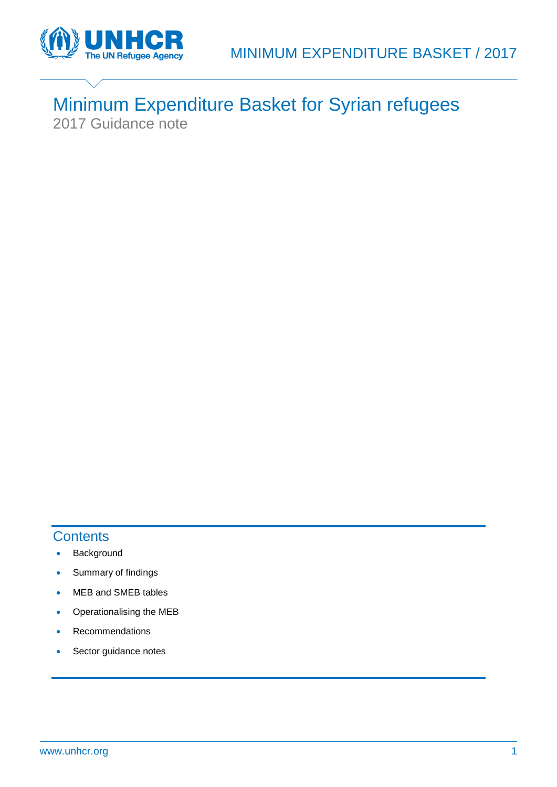

# Minimum Expenditure Basket for Syrian refugees 2017 Guidance note

# **Contents**

- Background
- Summary of findings
- MEB and SMEB tables
- Operationalising the MEB
- Recommendations
- Sector guidance notes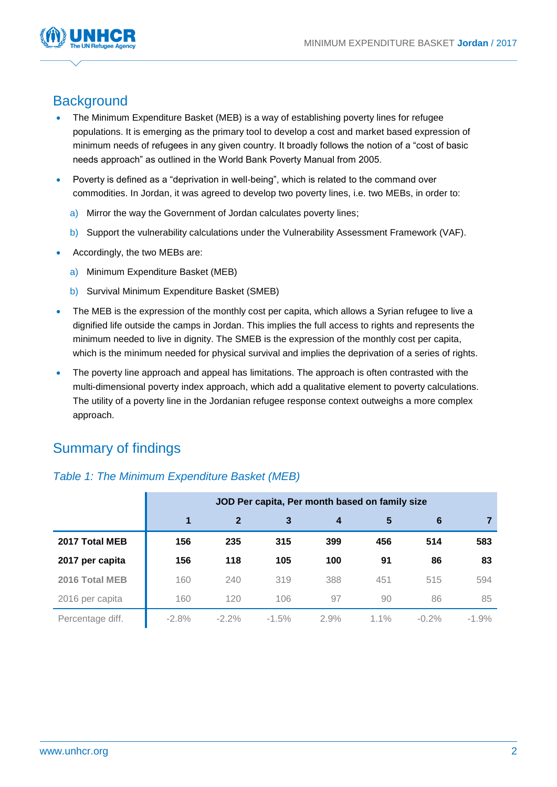

# **Background**

- The Minimum Expenditure Basket (MEB) is a way of establishing poverty lines for refugee populations. It is emerging as the primary tool to develop a cost and market based expression of minimum needs of refugees in any given country. It broadly follows the notion of a "cost of basic needs approach" as outlined in the World Bank Poverty Manual from 2005.
- Poverty is defined as a "deprivation in well-being", which is related to the command over commodities. In Jordan, it was agreed to develop two poverty lines, i.e. two MEBs, in order to:
	- a) Mirror the way the Government of Jordan calculates poverty lines;
	- b) Support the vulnerability calculations under the Vulnerability Assessment Framework (VAF).
- Accordingly, the two MEBs are:
	- a) Minimum Expenditure Basket (MEB)
	- b) Survival Minimum Expenditure Basket (SMEB)
- The MEB is the expression of the monthly cost per capita, which allows a Syrian refugee to live a dignified life outside the camps in Jordan. This implies the full access to rights and represents the minimum needed to live in dignity. The SMEB is the expression of the monthly cost per capita, which is the minimum needed for physical survival and implies the deprivation of a series of rights.
- The poverty line approach and appeal has limitations. The approach is often contrasted with the multi-dimensional poverty index approach, which add a qualitative element to poverty calculations. The utility of a poverty line in the Jordanian refugee response context outweighs a more complex approach.

# Summary of findings

## *Table 1: The Minimum Expenditure Basket (MEB)*

|                  | JOD Per capita, Per month based on family size |              |         |      |         |          |         |  |  |  |  |  |
|------------------|------------------------------------------------|--------------|---------|------|---------|----------|---------|--|--|--|--|--|
|                  | 1                                              | $\mathbf{2}$ | 3       | 4    | 5       | 6        |         |  |  |  |  |  |
| 2017 Total MEB   | 156                                            | 235          | 315     | 399  | 456     | 514      | 583     |  |  |  |  |  |
| 2017 per capita  | 156                                            | 118          | 105     | 100  | 91      | 86       | 83      |  |  |  |  |  |
| 2016 Total MEB   | 160                                            | 240          | 319     | 388  | 451     | 515      | 594     |  |  |  |  |  |
| 2016 per capita  | 160                                            | 120          | 106     | 97   | 90      | 86       | 85      |  |  |  |  |  |
| Percentage diff. | $-2.8%$                                        | $-2.2\%$     | $-1.5%$ | 2.9% | $1.1\%$ | $-0.2\%$ | $-1.9%$ |  |  |  |  |  |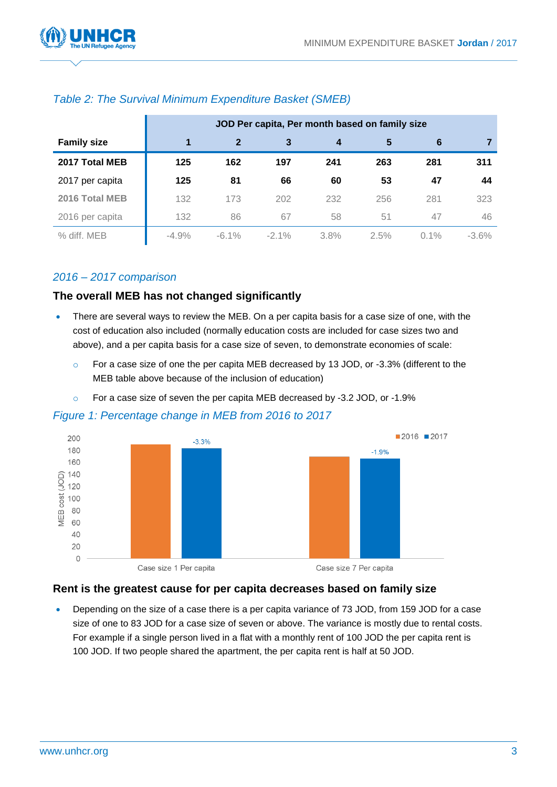

|                    | JOD Per capita, Per month based on family size |          |          |      |      |         |         |  |  |  |  |
|--------------------|------------------------------------------------|----------|----------|------|------|---------|---------|--|--|--|--|
| <b>Family size</b> | 1                                              | 2        |          |      | 5    | 6       |         |  |  |  |  |
| 2017 Total MEB     | 125                                            | 162      | 197      | 241  | 263  | 281     | 311     |  |  |  |  |
| 2017 per capita    | 125                                            | 81       | 66       | 60   | 53   | 47      | 44      |  |  |  |  |
| 2016 Total MEB     | 132                                            | 173      | 202      | 232  | 256  | 281     | 323     |  |  |  |  |
| 2016 per capita    | 132                                            | 86       | 67       | 58   | 51   | 47      | 46      |  |  |  |  |
| % diff. MEB        | $-4.9%$                                        | $-6.1\%$ | $-2.1\%$ | 3.8% | 2.5% | $0.1\%$ | $-3.6%$ |  |  |  |  |

# *Table 2: The Survival Minimum Expenditure Basket (SMEB)*

## *2016 – 2017 comparison*

## **The overall MEB has not changed significantly**

- There are several ways to review the MEB. On a per capita basis for a case size of one, with the cost of education also included (normally education costs are included for case sizes two and above), and a per capita basis for a case size of seven, to demonstrate economies of scale:
	- o For a case size of one the per capita MEB decreased by 13 JOD, or -3.3% (different to the MEB table above because of the inclusion of education)
	- o For a case size of seven the per capita MEB decreased by -3.2 JOD, or -1.9%

## *Figure 1: Percentage change in MEB from 2016 to 2017*



## **Rent is the greatest cause for per capita decreases based on family size**

 Depending on the size of a case there is a per capita variance of 73 JOD, from 159 JOD for a case size of one to 83 JOD for a case size of seven or above. The variance is mostly due to rental costs. For example if a single person lived in a flat with a monthly rent of 100 JOD the per capita rent is 100 JOD. If two people shared the apartment, the per capita rent is half at 50 JOD.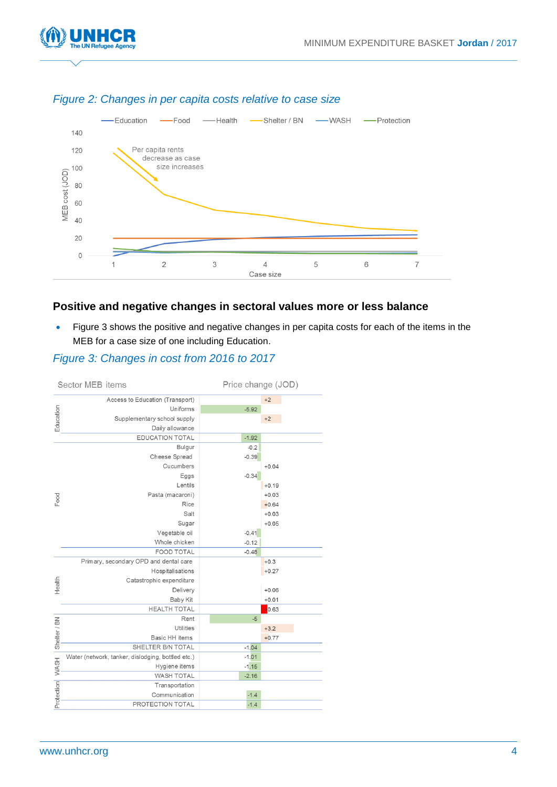



## *Figure 2: Changes in per capita costs relative to case size*

# **Positive and negative changes in sectoral values more or less balance**

• Figure 3 shows the positive and negative changes in per capita costs for each of the items in the MEB for a case size of one including Education.

## *Figure 3: Changes in cost from 2016 to 2017*

|              | Sector MEB items                                  | Price change (JOD) |         |  |  |  |
|--------------|---------------------------------------------------|--------------------|---------|--|--|--|
|              | Access to Education (Transport)                   |                    | $+2$    |  |  |  |
|              | Uniforms                                          | $-5.92$            |         |  |  |  |
| Education    | Supplementary school supply                       |                    | $+2$    |  |  |  |
|              | Daily allowance                                   |                    |         |  |  |  |
|              | <b>EDUCATION TOTAL</b>                            | $-1.92$            |         |  |  |  |
|              | Bulgur                                            | $-0.2$             |         |  |  |  |
|              | Cheese Spread                                     | $-0.39$            |         |  |  |  |
|              | Cucumbers                                         |                    | $+0.04$ |  |  |  |
|              | Eggs                                              | $-0.34$            |         |  |  |  |
|              | Lentils                                           |                    | $+0.19$ |  |  |  |
|              | Pasta (macaroni)                                  |                    | $+0.03$ |  |  |  |
| Food         | Rice                                              |                    | $+0.64$ |  |  |  |
|              | Salt                                              |                    | $+0.03$ |  |  |  |
|              | Sugar                                             |                    | $+0.05$ |  |  |  |
|              | Vegetable oil                                     | $-0.41$            |         |  |  |  |
|              | Whole chicken                                     | $-0.12$            |         |  |  |  |
|              | <b>FOOD TOTAL</b>                                 | $-0.48$            |         |  |  |  |
|              | Primary, secondary OPD and dental care            |                    | $+0.3$  |  |  |  |
|              | Hospitalisations                                  |                    | $+0.27$ |  |  |  |
| Health       | Catastrophic expenditure                          |                    |         |  |  |  |
|              | Delivery                                          |                    | $+0.06$ |  |  |  |
|              | Baby Kit                                          |                    | $+0.01$ |  |  |  |
|              | <b>HEALTH TOTAL</b>                               |                    | $+0.63$ |  |  |  |
|              | Rent                                              | $-5$               |         |  |  |  |
| Shelter / BN | Utilities                                         |                    | $+3.2$  |  |  |  |
|              | Basic HH items                                    |                    | $+0.77$ |  |  |  |
|              | SHELTER B/N TOTAL                                 | $-1.04$            |         |  |  |  |
|              | Water (network, tanker, dislodging, bottled etc.) | $-1.01$            |         |  |  |  |
| <b>WASH</b>  | Hygiene items                                     | $-1.15$            |         |  |  |  |
|              | <b>WASH TOTAL</b>                                 | $-2.16$            |         |  |  |  |
|              | Transportation                                    |                    |         |  |  |  |
| Protection   | Communication                                     | $-1.4$             |         |  |  |  |
|              | PROTECTION TOTAL                                  | $-1.4$             |         |  |  |  |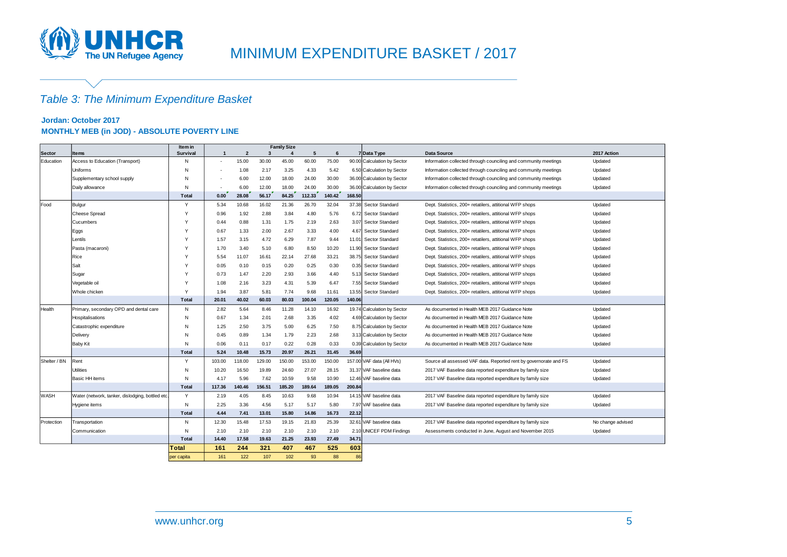

# MINIMUM EXPENDITURE BASKET / 2017

# *Table 3: The Minimum Expenditure Basket*

#### **Jordan: October 2017 MONTHLY MEB (in JOD) - ABSOLUTE POVERTY LINE**

|               |                                                  | <b>Family Size</b><br>Item in |                |                |        |        |        |        |        |                             |                                                                   |                   |
|---------------|--------------------------------------------------|-------------------------------|----------------|----------------|--------|--------|--------|--------|--------|-----------------------------|-------------------------------------------------------------------|-------------------|
| <b>Sector</b> | <b>Items</b>                                     | <b>Survival</b>               | $\overline{1}$ | $\overline{2}$ | -3     |        | 5      | 6      |        | 7 Data Type                 | <b>Data Source</b>                                                | 2017 Action       |
| Education     | Access to Education (Transport)                  | N                             |                | 15.00          | 30.00  | 45.00  | 60.00  | 75.00  |        | 90.00 Calculation by Sector | Information collected through counciling and community meetings   | Updated           |
|               | Uniforms                                         | N                             |                | 1.08           | 2.17   | 3.25   | 4.33   | 5.42   |        | 6.50 Calculation by Sector  | Information collected through counciling and community meetings   | Updated           |
|               | Supplementary school supply                      | N                             |                | 6.00           | 12.00  | 18.00  | 24.00  | 30.00  |        | 36.00 Calculation by Sector | Information collected through counciling and community meetings   | Updated           |
|               | Daily allowance                                  | N                             |                | 6.00           | 12.00  | 18.00  | 24.00  | 30.00  |        | 36.00 Calculation by Sector | Information collected through counciling and community meetings   | Updated           |
|               |                                                  | Total                         | 0.00           | 28.08          | 56.17  | 84.25  | 112.33 | 140.42 | 168.50 |                             |                                                                   |                   |
| Food          | Bulgur                                           | Y                             | 5.34           | 10.68          | 16.02  | 21.36  | 26.70  | 32.04  |        | 37.38 Sector Standard       | Dept. Statistics, 200+ retatilers, attitional WFP shops           | Updated           |
|               | <b>Cheese Spread</b>                             | <sup>V</sup>                  | 0.96           | 1.92           | 2.88   | 3.84   | 4.80   | 5.76   |        | 6.72 Sector Standard        | Dept. Statistics, 200+ retatilers, attitional WFP shops           | Updated           |
|               | Cucumbers                                        | $\mathbf{v}$                  | 0.44           | 0.88           | 1.31   | 1.75   | 2.19   | 2.63   |        | 3.07 Sector Standard        | Dept. Statistics, 200+ retatilers, attitional WFP shops           | Updated           |
|               | Eggs                                             | <sup>V</sup>                  | 0.67           | 1.33           | 2.00   | 2.67   | 3.33   | 4.00   | 4.67   | Sector Standard             | Dept. Statistics, 200+ retatilers, attitional WFP shops           | Updated           |
|               | Lentils                                          | N                             | 1.57           | 3.15           | 4.72   | 6.29   | 7.87   | 9.44   |        | 11.01 Sector Standard       | Dept. Statistics, 200+ retatilers, attitional WFP shops           | Updated           |
|               | Pasta (macaroni)                                 | N                             | 1.70           | 3.40           | 5.10   | 6.80   | 8.50   | 10.20  |        | 11.90 Sector Standard       | Dept. Statistics, 200+ retatilers, attitional WFP shops           | Updated           |
|               | Rice                                             | N                             | 5.54           | 11.07          | 16.61  | 22.14  | 27.68  | 33.21  |        | 38.75 Sector Standard       | Dept. Statistics, 200+ retatilers, attitional WFP shops           | Updated           |
|               | Salt                                             | $\mathsf{Y}$                  | 0.05           | 0.10           | 0.15   | 0.20   | 0.25   | 0.30   |        | 0.35 Sector Standard        | Dept. Statistics, 200+ retatilers, attitional WFP shops           | Updated           |
|               | Sugar                                            | $\mathsf{Y}$                  | 0.73           | 1.47           | 2.20   | 2.93   | 3.66   | 4.40   |        | 5.13 Sector Standard        | Dept. Statistics, 200+ retatilers, attitional WFP shops           | Updated           |
|               | Vegetable oil                                    | $\mathsf{Y}$                  | 1.08           | 2.16           | 3.23   | 4.31   | 5.39   | 6.47   |        | 7.55 Sector Standard        | Dept. Statistics, 200+ retatilers, attitional WFP shops           | Updated           |
|               | Whole chicken                                    | $\mathsf{Y}$                  | 1.94           | 3.87           | 5.81   | 7.74   | 9.68   | 11.61  | 13.55  | Sector Standard             | Dept. Statistics, 200+ retatilers, attitional WFP shops           | Updated           |
|               |                                                  | Total                         | 20.01          | 40.02          | 60.03  | 80.03  | 100.04 | 120.05 | 140.06 |                             |                                                                   |                   |
| Health        | Primary, secondary OPD and dental care           | N                             | 2.82           | 5.64           | 8.46   | 11.28  | 14.10  | 16.92  |        | 19.74 Calculation by Sector | As documented in Health MEB 2017 Guidance Note                    | Updated           |
|               | Hospitalisations                                 | N                             | 0.67           | 1.34           | 2.01   | 2.68   | 3.35   | 4.02   |        | 4.69 Calculation by Sector  | As documented in Health MEB 2017 Guidance Note                    | Updated           |
|               | Catastrophic expenditure                         | N                             | 1.25           | 2.50           | 3.75   | 5.00   | 6.25   | 7.50   |        | 8.75 Calculation by Sector  | As documented in Health MEB 2017 Guidance Note                    | Updated           |
|               | Delivery                                         | N                             | 0.45           | 0.89           | 1.34   | 1.79   | 2.23   | 2.68   |        | 3.13 Calculation by Sector  | As documented in Health MEB 2017 Guidance Note                    | Updated           |
|               | <b>Baby Kit</b>                                  | N                             | 0.06           | 0.11           | 0.17   | 0.22   | 0.28   | 0.33   |        | 0.39 Calculation by Sector  | As documented in Health MEB 2017 Guidance Note                    | Updated           |
|               |                                                  | Total                         | 5.24           | 10.48          | 15.73  | 20.97  | 26.21  | 31.45  | 36.69  |                             |                                                                   |                   |
| Shelter / BN  | Rent                                             | Y                             | 103.00         | 118.00         | 129.00 | 150.00 | 153.00 | 150.00 |        | 157.00 VAF data (All HVs)   | Source all assessed VAF data. Reported rent by governorate and FS | Updated           |
|               | <b>Utilities</b>                                 | N                             | 10.20          | 16.50          | 19.89  | 24.60  | 27.07  | 28.15  |        | 31.37 VAF baseline data     | 2017 VAF Baseline data reported expenditure by family size        | Updated           |
|               | Basic HH items                                   | N                             | 4.17           | 5.96           | 7.62   | 10.59  | 9.58   | 10.90  |        | 12.46 VAF baseline data     | 2017 VAF Baseline data reported expenditure by family size        | Updated           |
|               |                                                  | Total                         | 117.36         | 140.46         | 156.51 | 185.20 | 189.64 | 189.05 | 200.84 |                             |                                                                   |                   |
| <b>WASH</b>   | Water (network, tanker, dislodging, bottled etc. | Y                             | 2.19           | 4.05           | 8.45   | 10.63  | 9.68   | 10.94  |        | 14.15 VAF baseline data     | 2017 VAF Baseline data reported expenditure by family size        | Updated           |
|               | Hygiene items                                    | N                             | 2.25           | 3.36           | 4.56   | 5.17   | 5.17   | 5.80   |        | 7.97 VAF baseline data      | 2017 VAF Baseline data reported expenditure by family size        | Updated           |
|               |                                                  | Total                         | 4.44           | 7.41           | 13.01  | 15.80  | 14.86  | 16.73  | 22.12  |                             |                                                                   |                   |
| Protection    | Transportation                                   | N                             | 12.30          | 15.48          | 17.53  | 19.15  | 21.83  | 25.39  |        | 32.61 VAF baseline data     | 2017 VAF Baseline data reported expenditure by family size        | No change advised |
|               | Communication                                    | N                             | 2.10           | 2.10           | 2.10   | 2.10   | 2.10   | 2.10   |        | 2.10 UNICEF PDM Findings    | Assessments conducted in June, August and November 2015           | Updated           |
|               |                                                  | Total                         | 14.40          | 17.58          | 19.63  | 21.25  | 23.93  | 27.49  | 34.71  |                             |                                                                   |                   |
|               |                                                  | Total                         | 161            | 244            | 321    | 407    | 467    | 525    | 603    |                             |                                                                   |                   |
|               |                                                  | per capita                    | 161            | 122            | 107    | 102    | 93     | 88     | 86     |                             |                                                                   |                   |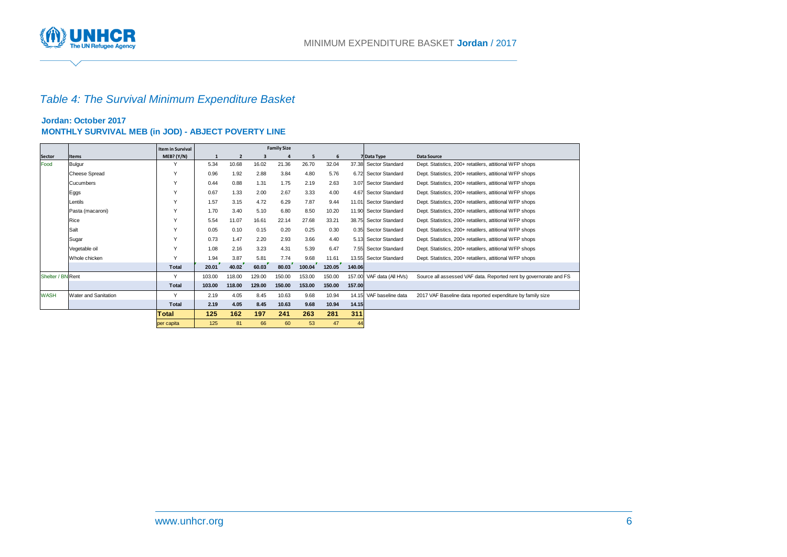

# *Table 4: The Survival Minimum Expenditure Basket*

#### **Jordan: October 2017 MONTHLY SURVIVAL MEB (in JOD) - ABJECT POVERTY LINE**

|                   |                             | <b>Item in Survival</b> | <b>Family Size</b> |                |        |        |        |        |        |                       |                                                                   |
|-------------------|-----------------------------|-------------------------|--------------------|----------------|--------|--------|--------|--------|--------|-----------------------|-------------------------------------------------------------------|
| Sector            | <b>Items</b>                | MEB? (Y/N)              |                    | $\overline{2}$ |        |        | 5      | 6      |        | 7 Data Type           | <b>Data Source</b>                                                |
| Food              | Bulgur                      |                         | 5.34               | 10.68          | 16.02  | 21.36  | 26.70  | 32.04  |        | 37.38 Sector Standard | Dept. Statistics, 200+ retatilers, attitional WFP shops           |
|                   | <b>Cheese Spread</b>        | $\checkmark$            | 0.96               | 1.92           | 2.88   | 3.84   | 4.80   | 5.76   |        | 6.72 Sector Standard  | Dept. Statistics, 200+ retatilers, attitional WFP shops           |
|                   | Cucumbers                   |                         | 0.44               | 0.88           | 1.31   | 1.75   | 2.19   | 2.63   |        | 3.07 Sector Standard  | Dept. Statistics, 200+ retatilers, attitional WFP shops           |
|                   | Eggs                        |                         | 0.67               | 1.33           | 2.00   | 2.67   | 3.33   | 4.00   |        | 4.67 Sector Standard  | Dept. Statistics, 200+ retatilers, attitional WFP shops           |
|                   | Lentils                     |                         | 1.57               | 3.15           | 4.72   | 6.29   | 7.87   | 9.44   |        | 11.01 Sector Standard | Dept. Statistics, 200+ retatilers, attitional WFP shops           |
|                   | Pasta (macaroni)            | $\checkmark$            | 1.70               | 3.40           | 5.10   | 6.80   | 8.50   | 10.20  |        | 11.90 Sector Standard | Dept. Statistics, 200+ retatilers, attitional WFP shops           |
|                   | Rice                        |                         | 5.54               | 11.07          | 16.61  | 22.14  | 27.68  | 33.21  |        | 38.75 Sector Standard | Dept. Statistics, 200+ retatilers, attitional WFP shops           |
|                   | Salt                        | $\checkmark$            | 0.05               | 0.10           | 0.15   | 0.20   | 0.25   | 0.30   |        | 0.35 Sector Standard  | Dept. Statistics, 200+ retatilers, attitional WFP shops           |
|                   | Sugar                       |                         | 0.73               | 1.47           | 2.20   | 2.93   | 3.66   | 4.40   |        | 5.13 Sector Standard  | Dept. Statistics, 200+ retatilers, attitional WFP shops           |
|                   | Vegetable oil               | $\checkmark$            | 1.08               | 2.16           | 3.23   | 4.31   | 5.39   | 6.47   |        | 7.55 Sector Standard  | Dept. Statistics, 200+ retatilers, attitional WFP shops           |
|                   | Whole chicken               |                         | 1.94               | 3.87           | 5.81   | 7.74   | 9.68   | 11.61  |        | 13.55 Sector Standard | Dept. Statistics, 200+ retatilers, attitional WFP shops           |
|                   |                             | <b>Total</b>            | 20.01              | 40.02          | 60.03  | 80.03  | 100.04 | 120.05 | 140.06 |                       |                                                                   |
| Shelter / BN Rent |                             | Y                       | 103.00             | 118.00         | 129.00 | 150.00 | 153.00 | 150.00 | 157.00 | VAF data (All HVs)    | Source all assessed VAF data. Reported rent by governorate and FS |
|                   |                             | Total                   | 103.00             | 118.00         | 129.00 | 150.00 | 153.00 | 150.00 | 157.00 |                       |                                                                   |
| <b>WASH</b>       | <b>Water and Sanitation</b> |                         | 2.19               | 4.05           | 8.45   | 10.63  | 9.68   | 10.94  | 14.15  | VAF baseline data     | 2017 VAF Baseline data reported expenditure by family size        |
|                   |                             | <b>Total</b>            | 2.19               | 4.05           | 8.45   | 10.63  | 9.68   | 10.94  | 14.15  |                       |                                                                   |
|                   |                             | Total                   | 125                | 162            | 197    | 241    | 263    | 281    | 311    |                       |                                                                   |
|                   |                             | per capita              | 125                | 81             | 66     | 60     | 53     | 47     | 44     |                       |                                                                   |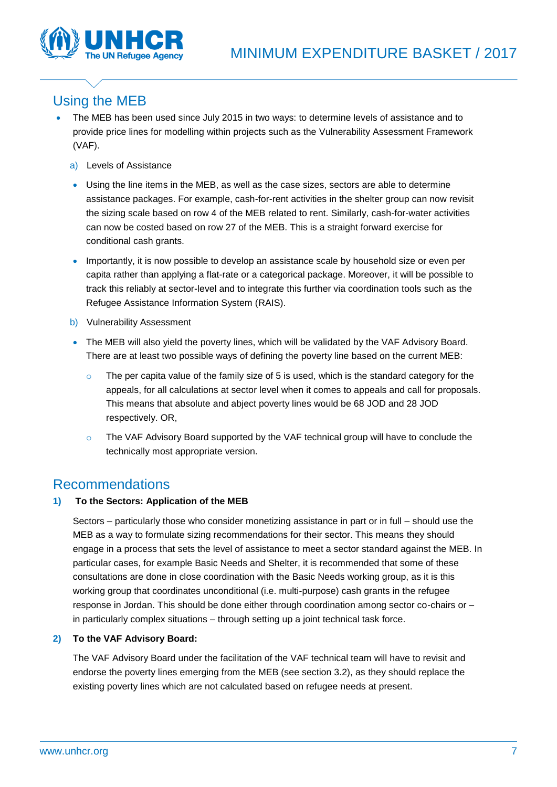

# Using the MEB

- The MEB has been used since July 2015 in two ways: to determine levels of assistance and to provide price lines for modelling within projects such as the Vulnerability Assessment Framework (VAF).
	- a) Levels of Assistance
	- Using the line items in the MEB, as well as the case sizes, sectors are able to determine assistance packages. For example, cash-for-rent activities in the shelter group can now revisit the sizing scale based on row 4 of the MEB related to rent. Similarly, cash-for-water activities can now be costed based on row 27 of the MEB. This is a straight forward exercise for conditional cash grants.
	- Importantly, it is now possible to develop an assistance scale by household size or even per capita rather than applying a flat-rate or a categorical package. Moreover, it will be possible to track this reliably at sector-level and to integrate this further via coordination tools such as the Refugee Assistance Information System (RAIS).
	- b) Vulnerability Assessment
	- The MEB will also yield the poverty lines, which will be validated by the VAF Advisory Board. There are at least two possible ways of defining the poverty line based on the current MEB:
		- o The per capita value of the family size of 5 is used, which is the standard category for the appeals, for all calculations at sector level when it comes to appeals and call for proposals. This means that absolute and abject poverty lines would be 68 JOD and 28 JOD respectively. OR,
		- o The VAF Advisory Board supported by the VAF technical group will have to conclude the technically most appropriate version.

# Recommendations

### **1) To the Sectors: Application of the MEB**

Sectors – particularly those who consider monetizing assistance in part or in full – should use the MEB as a way to formulate sizing recommendations for their sector. This means they should engage in a process that sets the level of assistance to meet a sector standard against the MEB. In particular cases, for example Basic Needs and Shelter, it is recommended that some of these consultations are done in close coordination with the Basic Needs working group, as it is this working group that coordinates unconditional (i.e. multi-purpose) cash grants in the refugee response in Jordan. This should be done either through coordination among sector co-chairs or – in particularly complex situations – through setting up a joint technical task force.

### **2) To the VAF Advisory Board:**

The VAF Advisory Board under the facilitation of the VAF technical team will have to revisit and endorse the poverty lines emerging from the MEB (see section 3.2), as they should replace the existing poverty lines which are not calculated based on refugee needs at present.